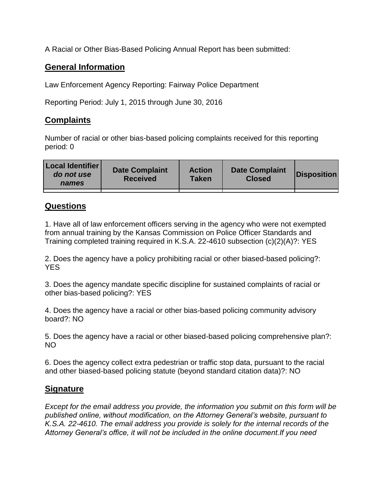A Racial or Other Bias-Based Policing Annual Report has been submitted:

## **General Information**

Law Enforcement Agency Reporting: Fairway Police Department

Reporting Period: July 1, 2015 through June 30, 2016

## **Complaints**

Number of racial or other bias-based policing complaints received for this reporting period: 0

| <b>Local Identifier</b><br>do not use<br>names | <b>Date Complaint</b><br><b>Received</b> | <b>Action</b><br><b>Taken</b> | <b>Date Complaint</b><br><b>Closed</b> | Disposition |
|------------------------------------------------|------------------------------------------|-------------------------------|----------------------------------------|-------------|
|                                                |                                          |                               |                                        |             |

## **Questions**

1. Have all of law enforcement officers serving in the agency who were not exempted from annual training by the Kansas Commission on Police Officer Standards and Training completed training required in K.S.A. 22-4610 subsection (c)(2)(A)?: YES

2. Does the agency have a policy prohibiting racial or other biased-based policing?: YES

3. Does the agency mandate specific discipline for sustained complaints of racial or other bias-based policing?: YES

4. Does the agency have a racial or other bias-based policing community advisory board?: NO

5. Does the agency have a racial or other biased-based policing comprehensive plan?: NO

6. Does the agency collect extra pedestrian or traffic stop data, pursuant to the racial and other biased-based policing statute (beyond standard citation data)?: NO

## **Signature**

*Except for the email address you provide, the information you submit on this form will be published online, without modification, on the Attorney General's website, pursuant to K.S.A. 22-4610. The email address you provide is solely for the internal records of the Attorney General's office, it will not be included in the online document.If you need*